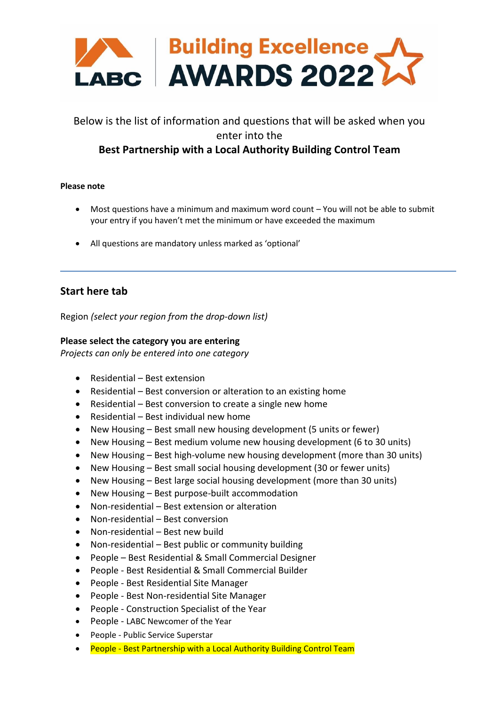

# Below is the list of information and questions that will be asked when you enter into the

# **Best Partnership with a Local Authority Building Control Team**

#### **Please note**

- Most questions have a minimum and maximum word count You will not be able to submit your entry if you haven't met the minimum or have exceeded the maximum
- All questions are mandatory unless marked as 'optional'

## **Start here tab**

Region *(select your region from the drop-down list)*

#### **Please select the category you are entering**

*Projects can only be entered into one category*

- Residential Best extension
- Residential Best conversion or alteration to an existing home
- Residential Best conversion to create a single new home
- Residential Best individual new home
- New Housing Best small new housing development (5 units or fewer)
- New Housing Best medium volume new housing development (6 to 30 units)
- New Housing Best high-volume new housing development (more than 30 units)
- New Housing Best small social housing development (30 or fewer units)
- New Housing Best large social housing development (more than 30 units)
- New Housing Best purpose-built accommodation
- Non-residential Best extension or alteration
- Non-residential Best conversion
- Non-residential Best new build
- Non-residential Best public or community building
- People Best Residential & Small Commercial Designer
- People Best Residential & Small Commercial Builder
- People Best Residential Site Manager
- People Best Non-residential Site Manager
- People Construction Specialist of the Year
- People LABC Newcomer of the Year
- People Public Service Superstar
- People Best Partnership with a Local Authority Building Control Team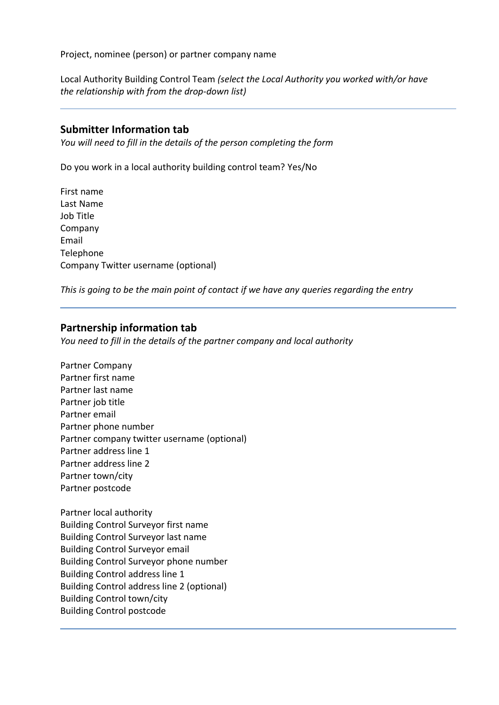Project, nominee (person) or partner company name

Local Authority Building Control Team *(select the Local Authority you worked with/or have the relationship with from the drop-down list)*

## **Submitter Information tab**

*You will need to fill in the details of the person completing the form*

Do you work in a local authority building control team? Yes/No

First name Last Name Job Title Company Email **Telephone** Company Twitter username (optional)

*This is going to be the main point of contact if we have any queries regarding the entry*

## **Partnership information tab**

*You need to fill in the details of the partner company and local authority* 

Partner Company Partner first name Partner last name Partner job title Partner email Partner phone number Partner company twitter username (optional) Partner address line 1 Partner address line 2 Partner town/city Partner postcode

Partner local authority Building Control Surveyor first name Building Control Surveyor last name Building Control Surveyor email Building Control Surveyor phone number Building Control address line 1 Building Control address line 2 (optional) Building Control town/city Building Control postcode